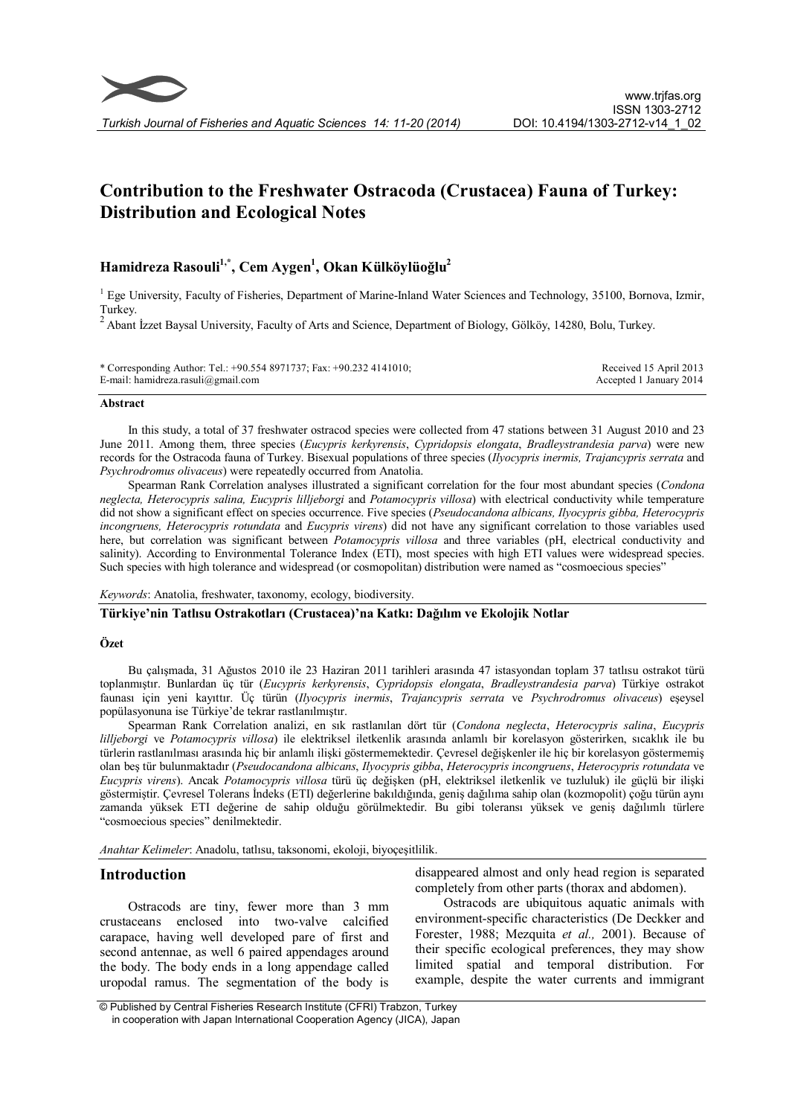# Contribution to the Freshwater Ostracoda (Crustacea) Fauna of Turkey: Distribution and Ecological Notes

# Hamidreza Rasouli<sup>1,\*</sup>, Cem Aygen<sup>1</sup>, Okan Külköylüoğlu<sup>2</sup>

<sup>1</sup> Ege University, Faculty of Fisheries, Department of Marine-Inland Water Sciences and Technology, 35100, Bornova, Izmir,

Turkey. 2 Abant İzzet Baysal University, Faculty of Arts and Science, Department of Biology, Gölköy, 14280, Bolu, Turkey.

| * Corresponding Author: Tel.: +90.554 8971737; Fax: +90.232 4141010; | Received 15 April 2013  |
|----------------------------------------------------------------------|-------------------------|
| E-mail: hamidreza.rasuli@gmail.com                                   | Accepted 1 January 2014 |

#### Abstract

In this study, a total of 37 freshwater ostracod species were collected from 47 stations between 31 August 2010 and 23 June 2011. Among them, three species (Eucypris kerkyrensis, Cypridopsis elongata, Bradleystrandesia parva) were new records for the Ostracoda fauna of Turkey. Bisexual populations of three species (*Ilyocypris inermis, Trajancypris serrata* and Psychrodromus olivaceus) were repeatedly occurred from Anatolia.

Spearman Rank Correlation analyses illustrated a significant correlation for the four most abundant species (Condona neglecta, Heterocypris salina, Eucypris lilljeborgi and Potamocypris villosa) with electrical conductivity while temperature did not show a significant effect on species occurrence. Five species (Pseudocandona albicans, Ilyocypris gibba, Heterocypris incongruens, Heterocypris rotundata and Eucypris virens) did not have any significant correlation to those variables used here, but correlation was significant between *Potamocypris villosa* and three variables (pH, electrical conductivity and salinity). According to Environmental Tolerance Index (ETI), most species with high ETI values were widespread species. Such species with high tolerance and widespread (or cosmopolitan) distribution were named as "cosmoecious species"

Keywords: Anatolia, freshwater, taxonomy, ecology, biodiversity.

### Türkiye'nin Tatlısu Ostrakotları (Crustacea)'na Katkı: Dağılım ve Ekolojik Notlar

#### Özet

Bu çalışmada, 31 Ağustos 2010 ile 23 Haziran 2011 tarihleri arasında 47 istasyondan toplam 37 tatlısu ostrakot türü toplanmıştır. Bunlardan üç tür (Eucypris kerkyrensis, Cypridopsis elongata, Bradleystrandesia parva) Türkiye ostrakot faunası için yeni kayıttır. Üç türün (Ilyocypris inermis, Trajancypris serrata ve Psychrodromus olivaceus) eşeysel popülasyonuna ise Türkiye'de tekrar rastlanılmıştır.

Spearman Rank Correlation analizi, en sık rastlanılan dört tür (Condona neglecta, Heterocypris salina, Eucypris lilljeborgi ve Potamocypris villosa) ile elektriksel iletkenlik arasında anlamlı bir korelasyon gösterirken, sıcaklık ile bu türlerin rastlanılması arasında hiç bir anlamlı ilişki göstermemektedir. Çevresel değişkenler ile hiç bir korelasyon göstermemiş olan beş tür bulunmaktadır (Pseudocandona albicans, Ilyocypris gibba, Heterocypris incongruens, Heterocypris rotundata ve Eucypris virens). Ancak Potamocypris villosa türü üç değişken (pH, elektriksel iletkenlik ve tuzluluk) ile güçlü bir ilişki göstermiştir. Çevresel Tolerans İndeks (ETI) değerlerine bakıldığında, geniş dağılıma sahip olan (kozmopolit) çoğu türün aynı zamanda yüksek ETI değerine de sahip olduğu görülmektedir. Bu gibi toleransı yüksek ve geniş dağılımlı türlere "cosmoecious species" denilmektedir.

Anahtar Kelimeler: Anadolu, tatlısu, taksonomi, ekoloji, biyoçeşitlilik.

# Introduction

Ostracods are tiny, fewer more than 3 mm crustaceans enclosed into two-valve calcified carapace, having well developed pare of first and second antennae, as well 6 paired appendages around the body. The body ends in a long appendage called uropodal ramus. The segmentation of the body is

disappeared almost and only head region is separated completely from other parts (thorax and abdomen).

Ostracods are ubiquitous aquatic animals with environment-specific characteristics (De Deckker and Forester, 1988; Mezquita et al., 2001). Because of their specific ecological preferences, they may show limited spatial and temporal distribution. For example, despite the water currents and immigrant

<sup>©</sup> Published by Central Fisheries Research Institute (CFRI) Trabzon, Turkey in cooperation with Japan International Cooperation Agency (JICA), Japan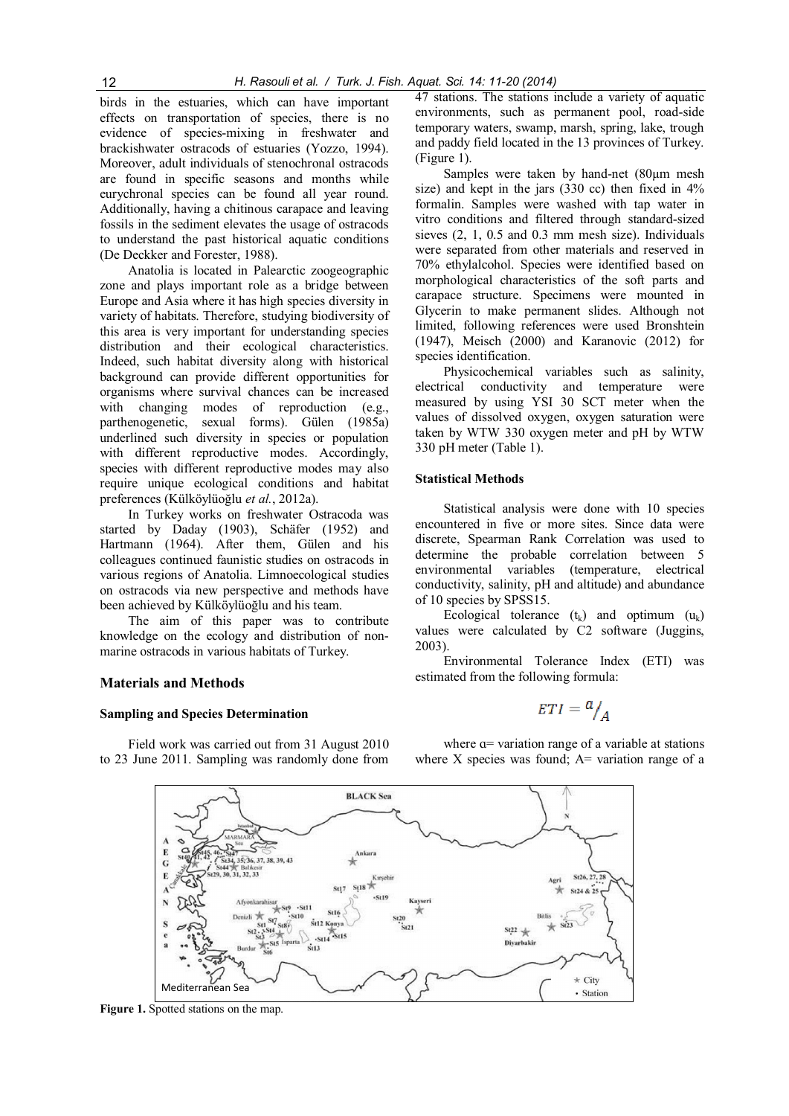birds in the estuaries, which can have important effects on transportation of species, there is no evidence of species-mixing in freshwater and brackishwater ostracods of estuaries (Yozzo, 1994). Moreover, adult individuals of stenochronal ostracods are found in specific seasons and months while eurychronal species can be found all year round. Additionally, having a chitinous carapace and leaving fossils in the sediment elevates the usage of ostracods to understand the past historical aquatic conditions (De Deckker and Forester, 1988).

Anatolia is located in Palearctic zoogeographic zone and plays important role as a bridge between Europe and Asia where it has high species diversity in variety of habitats. Therefore, studying biodiversity of this area is very important for understanding species distribution and their ecological characteristics. Indeed, such habitat diversity along with historical background can provide different opportunities for organisms where survival chances can be increased with changing modes of reproduction (e.g., parthenogenetic, sexual forms). Gülen (1985a) underlined such diversity in species or population with different reproductive modes. Accordingly, species with different reproductive modes may also require unique ecological conditions and habitat preferences (Külköylüoğlu et al., 2012a).

In Turkey works on freshwater Ostracoda was started by Daday (1903), Schäfer (1952) and Hartmann (1964). After them, Gülen and his colleagues continued faunistic studies on ostracods in various regions of Anatolia. Limnoecological studies on ostracods via new perspective and methods have been achieved by Külköylüoğlu and his team.

The aim of this paper was to contribute knowledge on the ecology and distribution of nonmarine ostracods in various habitats of Turkey.

### Materials and Methods

#### Sampling and Species Determination

Field work was carried out from 31 August 2010 to 23 June 2011. Sampling was randomly done from 47 stations. The stations include a variety of aquatic environments, such as permanent pool, road-side temporary waters, swamp, marsh, spring, lake, trough and paddy field located in the 13 provinces of Turkey. (Figure 1).

Samples were taken by hand-net (80µm mesh size) and kept in the jars (330 cc) then fixed in 4% formalin. Samples were washed with tap water in vitro conditions and filtered through standard-sized sieves (2, 1, 0.5 and 0.3 mm mesh size). Individuals were separated from other materials and reserved in 70% ethylalcohol. Species were identified based on morphological characteristics of the soft parts and carapace structure. Specimens were mounted in Glycerin to make permanent slides. Although not limited, following references were used Bronshtein (1947), Meisch (2000) and Karanovic (2012) for species identification.

Physicochemical variables such as salinity, electrical conductivity and temperature were measured by using YSI 30 SCT meter when the values of dissolved oxygen, oxygen saturation were taken by WTW 330 oxygen meter and pH by WTW 330 pH meter (Table 1).

#### Statistical Methods

Statistical analysis were done with 10 species encountered in five or more sites. Since data were discrete, Spearman Rank Correlation was used to determine the probable correlation between 5 environmental variables (temperature, electrical conductivity, salinity, pH and altitude) and abundance of 10 species by SPSS15.

Ecological tolerance  $(t_k)$  and optimum  $(u_k)$ values were calculated by C2 software (Juggins, 2003).

Environmental Tolerance Index (ETI) was estimated from the following formula:

$$
ETI = \frac{a}{A}
$$

where  $\alpha$ = variation range of a variable at stations where  $X$  species was found;  $A=$  variation range of a

**BLACK Sea** ليميز  $\breve{\phantom{a}}$ 46. St47<br>St34, 35, 36, 37, 38, 39, 43<br>St44 StBalikesir<br>29, 30, 31, 32, 33  $\overline{G}$  $\mathbf{r}$ Kırşehi  $5.363$  $s$ <sub>18</sub> $\star$  $St17$  $S(24, 8, 2)$ ar<br>
St9 St10<br>
T<sub>St8</sub> N Afvonkarahisa  $\cdot$ St11 St20<br>St21 Sr16 Denizli  $\frac{St7}{St4}$   $\frac{St8}{t}$ St12 Konya  $St22 +$  $\sqrt{5}$  $-$ St14  $\frac{13}{516}$  St5 Divarbakin  $\ddot{m}$  $\star$  City Mediterranean Sea · Station

Figure 1. Spotted stations on the map.

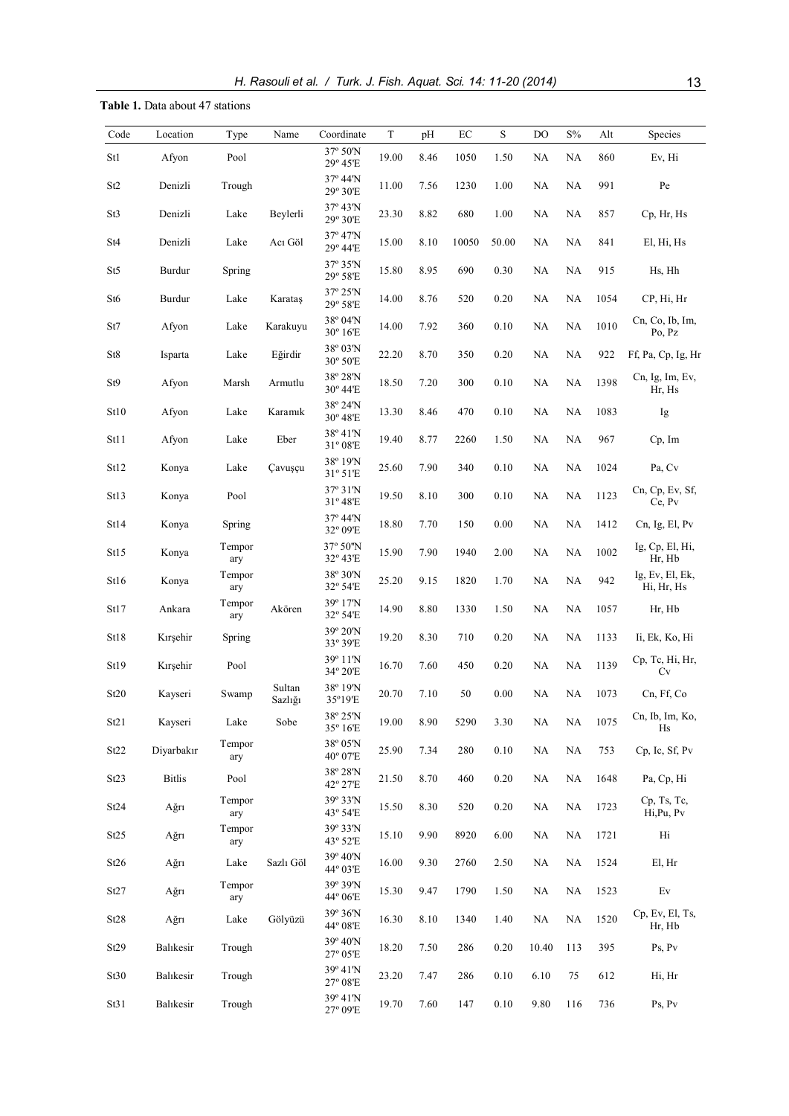# Table 1. Data about 47 stations

| Code            | Location      | Type          | Name              | Coordinate                                      | T     | pH   | $\rm EC$ | S        | DO       | $\mathrm{S\%}$ | Alt  | Species                       |
|-----------------|---------------|---------------|-------------------|-------------------------------------------------|-------|------|----------|----------|----------|----------------|------|-------------------------------|
| St1             | Afyon         | Pool          |                   | 37° 50'N<br>29° 45'E                            | 19.00 | 8.46 | 1050     | 1.50     | NA       | NA             | 860  | Ev, Hi                        |
| St <sub>2</sub> | Denizli       | Trough        |                   | 37° 44'N<br>29° 30'E                            | 11.00 | 7.56 | 1230     | 1.00     | NA       | NA             | 991  | $\rm Pe$                      |
| St3             | Denizli       | Lake          | Beylerli          | 37° 43'N<br>29° 30'E                            | 23.30 | 8.82 | 680      | 1.00     | NA       | NA             | 857  | Cp, Hr, Hs                    |
| St4             | Denizli       | Lake          | Acı Göl           | 37° 47'N<br>29° 44'E                            | 15.00 | 8.10 | 10050    | 50.00    | NA       | NA             | 841  | El, Hi, Hs                    |
| St5             | Burdur        | Spring        |                   | 37° 35'N<br>29° 58'E                            | 15.80 | 8.95 | 690      | 0.30     | NA       | NA             | 915  | Hs, Hh                        |
| St <sub>6</sub> | Burdur        | Lake          | Karataş           | 37° 25'N<br>29° 58'E                            | 14.00 | 8.76 | 520      | 0.20     | NA       | NA             | 1054 | CP, Hi, Hr                    |
| St7             | Afyon         | Lake          | Karakuyu          | 38° 04'N<br>30° 16'E                            | 14.00 | 7.92 | 360      | 0.10     | NA       | NA             | 1010 | Cn, Co, Ib, Im,<br>Po, Pz     |
| St8             | Isparta       | Lake          | Eğirdir           | 38° 03'N<br>30° 50'E                            | 22.20 | 8.70 | 350      | 0.20     | NA       | NA             | 922  | Ff, Pa, Cp, Ig, Hr            |
| St9             | Afyon         | Marsh         | Armutlu           | 38° 28'N<br>30° 44'E                            | 18.50 | 7.20 | 300      | 0.10     | NA       | NA             | 1398 | Cn, Ig, Im, Ev,<br>Hr, Hs     |
| St10            | Afyon         | Lake          | Karamık           | 38° 24'N<br>30° 48'E                            | 13.30 | 8.46 | 470      | 0.10     | NA       | NA             | 1083 | Ig                            |
| St11            | Afyon         | Lake          | Eber              | 38°41'N<br>31° 08'E                             | 19.40 | 8.77 | 2260     | 1.50     | NA       | NA             | 967  | Cp, Im                        |
| St12            | Konya         | Lake          | Çavuşçu           | 38° 19'N<br>31° 51'E                            | 25.60 | 7.90 | 340      | 0.10     | NA       | NA             | 1024 | Pa, Cv                        |
| St13            | Konya         | Pool          |                   | 37° 31'N<br>31°48'E                             | 19.50 | 8.10 | 300      | 0.10     | NA       | $\rm NA$       | 1123 | Cn, Cp, Ev, Sf,<br>Ce, Pv     |
| St14            | Konya         | Spring        |                   | 37° 44'N<br>32° 09'E                            | 18.80 | 7.70 | 150      | 0.00     | NA       | NA             | 1412 | Cn, Ig, El, Pv                |
| St15            | Konya         | Tempor<br>ary |                   | 37° 50"N<br>$32^{\circ}$ 43'E                   | 15.90 | 7.90 | 1940     | 2.00     | NA       | NA             | 1002 | Ig, Cp, El, Hi,<br>Hr, Hb     |
| St16            | Konya         | Tempor<br>ary |                   | 38° 30'N<br>32° 54'E                            | 25.20 | 9.15 | 1820     | 1.70     | NA       | NA             | 942  | Ig, Ev, El, Ek,<br>Hi, Hr, Hs |
| St17            | Ankara        | Tempor<br>ary | Akören            | 39° 17'N<br>32° 54'E                            | 14.90 | 8.80 | 1330     | 1.50     | NA       | NA             | 1057 | Hr, Hb                        |
| St18            | Kırşehir      | Spring        |                   | 39° 20'N<br>33° 39'E                            | 19.20 | 8.30 | 710      | 0.20     | NA       | NA             | 1133 | Ii, Ek, Ko, Hi                |
| St19            | Kırşehir      | Pool          |                   | 39° 11'N<br>34° 20'E                            | 16.70 | 7.60 | 450      | 0.20     | NA       | NA             | 1139 | Cp, Tc, Hi, Hr,<br>Cv         |
| St20            | Kayseri       | Swamp         | Sultan<br>Sazlığı | 38° 19'N<br>35°19'E                             | 20.70 | 7.10 | 50       | 0.00     | NA       | NA             | 1073 | Cn, Ff, Co                    |
| St21            | Kayseri       | Lake          | Sobe              | 38° 25'N<br>35° 16'E                            | 19.00 | 8.90 | 5290     | 3.30     | $\rm NA$ | NA             | 1075 | Cn, Ib, Im, Ko,<br>Hs         |
| St22            | Diyarbakır    | Tempor<br>ary |                   | 38° 05'N<br>40° 07'E                            | 25.90 | 7.34 | 280      | $0.10\,$ | $\rm NA$ | $\rm NA$       | 753  | Cp, Ic, Sf, Pv                |
| St23            | <b>Bitlis</b> | Pool          |                   | 38° 28'N<br>42° 27'E                            | 21.50 | 8.70 | 460      | 0.20     | $\rm NA$ | NA             | 1648 | Pa, Cp, Hi                    |
| St24            | Ağrı          | Tempor<br>ary |                   | 39° 33'N<br>43° 54'E                            | 15.50 | 8.30 | 520      | 0.20     | NA       | $\rm NA$       | 1723 | Cp, Ts, Tc,<br>Hi, Pu, Pv     |
| St25            | Ağrı          | Tempor<br>ary |                   | 39° 33'N<br>43° 52'E                            | 15.10 | 9.90 | 8920     | 6.00     | NA       | $\rm NA$       | 1721 | Hi                            |
| St26            | Ağrı          | Lake          | Sazlı Göl         | 39° 40'N<br>44° 03'E                            | 16.00 | 9.30 | 2760     | 2.50     | NA       | NA             | 1524 | El, Hr                        |
| St27            | Ağrı          | Tempor<br>ary |                   | 39° 39'N<br>44° 06'E                            | 15.30 | 9.47 | 1790     | 1.50     | NA       | NA             | 1523 | $\mathop{\rm Ev}\nolimits$    |
| St28            | Ağrı          | Lake          | Gölyüzü           | 39° 36'N<br>44° 08'E                            | 16.30 | 8.10 | 1340     | 1.40     | NA       | $\rm NA$       | 1520 | Cp, Ev, El, Ts,<br>Hr, Hb     |
| St29            | Balıkesir     | Trough        |                   | 39° 40'N<br>27° 05'E                            | 18.20 | 7.50 | 286      | 0.20     | 10.40    | 113            | 395  | Ps, Pv                        |
| St30            | Balıkesir     | Trough        |                   | 39° 41'N<br>$27^{\rm o}\,08^{\rm \cdot}{\rm E}$ | 23.20 | 7.47 | 286      | 0.10     | 6.10     | 75             | 612  | Hi, Hr                        |
| St31            | Balıkesir     | Trough        |                   | 39° 41'N<br>27° 09'E                            | 19.70 | 7.60 | 147      | 0.10     | 9.80     | 116            | 736  | Ps, Pv                        |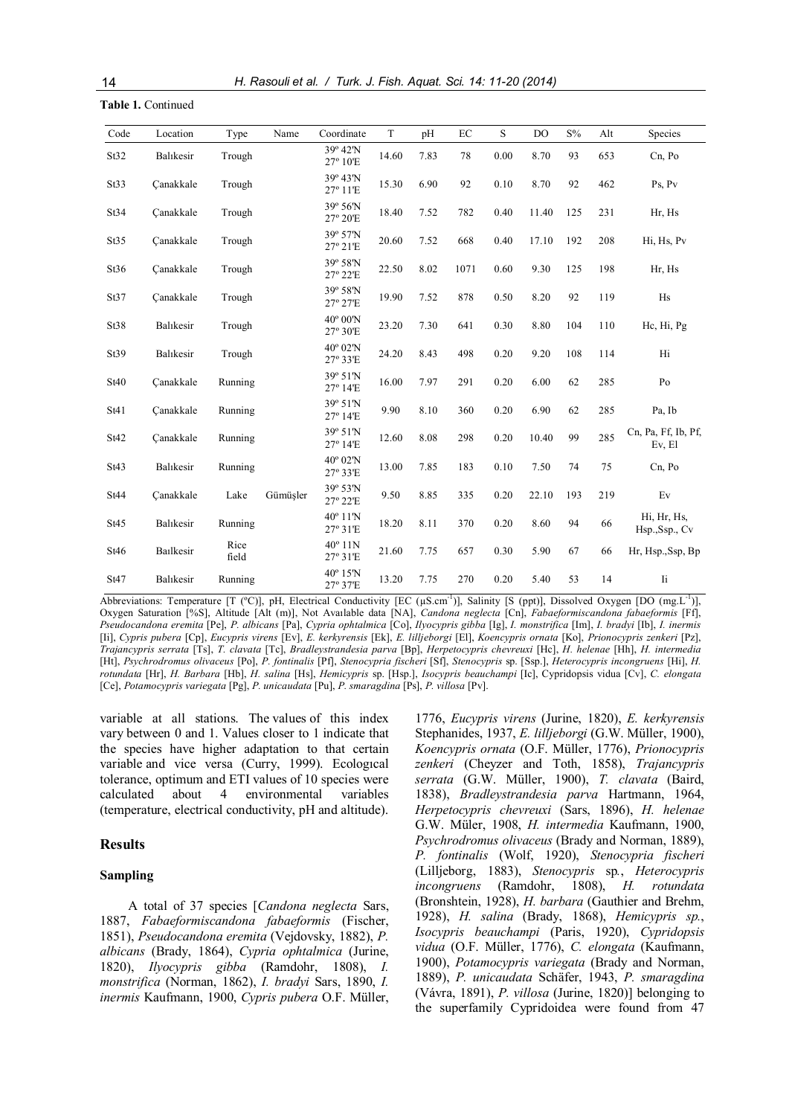Table 1. Continued

| Code | Location  | Type          | Name     | Coordinate                    | $\mathbf T$ | pH   | EC   | S    | DO    | S%  | Alt | Species                       |
|------|-----------|---------------|----------|-------------------------------|-------------|------|------|------|-------|-----|-----|-------------------------------|
| St32 | Balıkesir | Trough        |          | 39° 42'N<br>27° 10'E          | 14.60       | 7.83 | 78   | 0.00 | 8.70  | 93  | 653 | Cn, Po                        |
| St33 | Canakkale | Trough        |          | 39° 43'N<br>27° 11'E          | 15.30       | 6.90 | 92   | 0.10 | 8.70  | 92  | 462 | Ps, Pv                        |
| St34 | Canakkale | Trough        |          | 39° 56'N<br>27° 20'E          | 18.40       | 7.52 | 782  | 0.40 | 11.40 | 125 | 231 | Hr, Hs                        |
| St35 | Canakkale | Trough        |          | 39° 57'N<br>27° 21'E          | 20.60       | 7.52 | 668  | 0.40 | 17.10 | 192 | 208 | Hi, Hs, Pv                    |
| St36 | Canakkale | Trough        |          | 39° 58'N<br>27° 22'E          | 22.50       | 8.02 | 1071 | 0.60 | 9.30  | 125 | 198 | Hr, Hs                        |
| St37 | Canakkale | Trough        |          | 39° 58'N<br>27° 27'E          | 19.90       | 7.52 | 878  | 0.50 | 8.20  | 92  | 119 | Hs                            |
| St38 | Balıkesir | Trough        |          | $40^{\circ}$ 00'N<br>27° 30'E | 23.20       | 7.30 | 641  | 0.30 | 8.80  | 104 | 110 | Hc, Hi, Pg                    |
| St39 | Balıkesir | Trough        |          | 40° 02'N<br>27° 33'E          | 24.20       | 8.43 | 498  | 0.20 | 9.20  | 108 | 114 | Hi                            |
| St40 | Canakkale | Running       |          | 39° 51'N<br>27° 14'E          | 16.00       | 7.97 | 291  | 0.20 | 6.00  | 62  | 285 | Po                            |
| St41 | Canakkale | Running       |          | 39° 51'N<br>27° 14'E          | 9.90        | 8.10 | 360  | 0.20 | 6.90  | 62  | 285 | Pa, Ib                        |
| St42 | Canakkale | Running       |          | 39° 51'N<br>27° 14'E          | 12.60       | 8.08 | 298  | 0.20 | 10.40 | 99  | 285 | Cn, Pa, Ff, Ib, Pf,<br>Ev, El |
| St43 | Balıkesir | Running       |          | 40° 02'N<br>27° 33'E          | 13.00       | 7.85 | 183  | 0.10 | 7.50  | 74  | 75  | Cn, Po                        |
| St44 | Canakkale | Lake          | Gümüsler | 39° 53'N<br>27° 22'E          | 9.50        | 8.85 | 335  | 0.20 | 22.10 | 193 | 219 | Ev                            |
| St45 | Balıkesir | Running       |          | 40° 11'N<br>27° 31'E          | 18.20       | 8.11 | 370  | 0.20 | 8.60  | 94  | 66  | Hi, Hr, Hs,<br>Hsp., Ssp., Cv |
| St46 | Bailkesir | Rice<br>field |          | $40^{\circ}$ 11N<br>27° 31'E  | 21.60       | 7.75 | 657  | 0.30 | 5.90  | 67  | 66  | Hr, Hsp., Ssp, Bp             |
| St47 | Balıkesir | Running       |          | 40° 15'N<br>27° 37'E          | 13.20       | 7.75 | 270  | 0.20 | 5.40  | 53  | 14  | Ii                            |

Abbreviations: Temperature [T (°C)], pH, Electrical Conductivity [EC (µS.cm<sup>-1</sup>)], Salinity [S (ppt)], Dissolved Oxygen [DO (mg.L<sup>-1</sup>)], Oxygen Saturation [%S], Altitude [Alt (m)], Not Avaılable data [NA], Candona neglecta [Cn], Fabaeformiscandona fabaeformis [Ff], Pseudocandona eremita [Pe], P. albicans [Pa], Cypria ophtalmica [Co], Ilyocypris gibba [Ig], I. monstrifica [Im], I. bradyi [Ib], I. inermis [Ii], Cypris pubera [Cp], Eucypris virens [Ev], E. kerkyrensis [Ek], E. lilljeborgi [El], Koencypris ornata [Ko], Prionocypris zenkeri [Pz], Trajancypris serrata [Ts], T. clavata [Tc], Bradleystrandesia parva [Bp], Herpetocypris chevreuxi [Hc], H. helenae [Hh], H. intermedia [Ht], Psychrodromus olivaceus [Po], P. fontinalis [Pf], Stenocypria fischeri [Sf], Stenocypris sp. [Ssp.], Heterocypris incongruens [Hi], H. rotundata [Hr], H. Barbara [Hb], H. salina [Hs], Hemicypris sp. [Hsp.], Isocypris beauchampi [Ic], Cypridopsis vidua [Cv], C. elongata [Ce], Potamocypris variegata [Pg], P. unicaudata [Pu], P. smaragdina [Ps], P. villosa [Pv].

variable at all stations. The values of this index vary between 0 and 1. Values closer to 1 indicate that the species have higher adaptation to that certain variable and vice versa (Curry, 1999). Ecologıcal tolerance, optimum and ETI values of 10 species were calculated about 4 environmental variables (temperature, electrical conductivity, pH and altitude).

#### Results

### Sampling

A total of 37 species [Candona neglecta Sars, 1887, Fabaeformiscandona fabaeformis (Fischer, 1851), Pseudocandona eremita (Vejdovsky, 1882), P. albicans (Brady, 1864), Cypria ophtalmica (Jurine, 1820), Ilyocypris gibba (Ramdohr, 1808), I. monstrifica (Norman, 1862), I. bradyi Sars, 1890, I. inermis Kaufmann, 1900, Cypris pubera O.F. Müller,

1776, Eucypris virens (Jurine, 1820), E. kerkyrensis Stephanides, 1937, E. lillieborgi (G.W. Müller, 1900), Koencypris ornata (O.F. Müller, 1776), Prionocypris zenkeri (Cheyzer and Toth, 1858), Trajancypris serrata (G.W. Müller, 1900), T. clavata (Baird, 1838), Bradleystrandesia parva Hartmann, 1964, Herpetocypris chevreuxi (Sars, 1896), H. helenae G.W. Müler, 1908, H. intermedia Kaufmann, 1900, Psychrodromus olivaceus (Brady and Norman, 1889), P. fontinalis (Wolf, 1920), Stenocypria fischeri (Lilljeborg, 1883), Stenocypris sp., Heterocypris incongruens (Ramdohr, 1808), H. rotundata (Bronshtein, 1928), H. barbara (Gauthier and Brehm, 1928), H. salina (Brady, 1868), Hemicypris sp., Isocypris beauchampi (Paris, 1920), Cypridopsis vidua (O.F. Müller, 1776), C. elongata (Kaufmann, 1900), Potamocypris variegata (Brady and Norman, 1889), P. unicaudata Schäfer, 1943, P. smaragdina (Vávra, 1891), P. villosa (Jurine, 1820)] belonging to the superfamily Cypridoidea were found from 47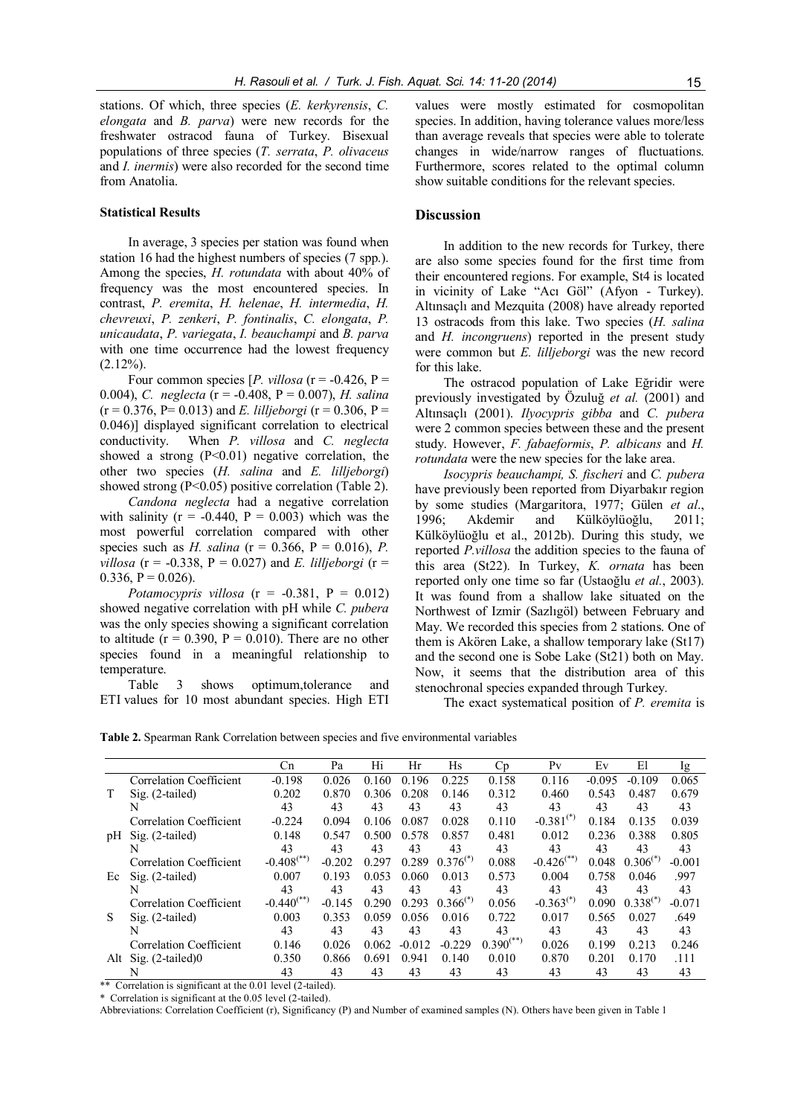stations. Of which, three species (E. kerkyrensis, C. elongata and B. parva) were new records for the freshwater ostracod fauna of Turkey. Bisexual populations of three species (T. serrata, P. olivaceus and I. inermis) were also recorded for the second time from Anatolia.

### Statistical Results

In average, 3 species per station was found when station 16 had the highest numbers of species (7 spp.). Among the species, H. rotundata with about 40% of frequency was the most encountered species. In contrast, P. eremita, H. helenae, H. intermedia, H. chevreuxi, P. zenkeri, P. fontinalis, C. elongata, P. unicaudata, P. variegata, I. beauchampi and B. parva with one time occurrence had the lowest frequency  $(2.12\%)$ .

Four common species  $[P. *villosa*$  ( $r = -0.426$ ,  $P =$ 0.004), C. neglecta (r = -0.408, P = 0.007), H. salina  $(r = 0.376, P = 0.013)$  and *E. lilljeborgi*  $(r = 0.306, P =$ 0.046)] displayed significant correlation to electrical conductivity. When P. villosa and C. neglecta showed a strong  $(P<0.01)$  negative correlation, the other two species  $(H. \text{salina}$  and  $E. \text{l}$ . lilljeborgi) showed strong  $(P<0.05)$  positive correlation (Table 2).

Candona neglecta had a negative correlation with salinity  $(r = -0.440, P = 0.003)$  which was the most powerful correlation compared with other species such as H. salina ( $r = 0.366$ ,  $P = 0.016$ ), P. villosa (r = -0.338, P = 0.027) and E. lilljeborgi (r =  $0.336, P = 0.026$ .

Potamocypris villosa  $(r = -0.381, P = 0.012)$ showed negative correlation with pH while C. pubera was the only species showing a significant correlation to altitude ( $r = 0.390$ ,  $P = 0.010$ ). There are no other species found in a meaningful relationship to temperature.

Table 3 shows optimum,tolerance and ETI values for 10 most abundant species. High ETI values were mostly estimated for cosmopolitan species. In addition, having tolerance values more/less than average reveals that species were able to tolerate changes in wide/narrow ranges of fluctuations. Furthermore, scores related to the optimal column show suitable conditions for the relevant species.

#### **Discussion**

In addition to the new records for Turkey, there are also some species found for the first time from their encountered regions. For example, St4 is located in vicinity of Lake "Acı Göl" (Afyon - Turkey). Altınsaçlı and Mezquita (2008) have already reported 13 ostracods from this lake. Two species (H. salina and *H. incongruens*) reported in the present study were common but *E. lilljeborgi* was the new record for this lake.

The ostracod population of Lake Eğridir were previously investigated by Özuluğ et al. (2001) and Altınsaçlı (2001). Ilyocypris gibba and C. pubera were 2 common species between these and the present study. However, F. fabaeformis, P. albicans and H. rotundata were the new species for the lake area.

Isocypris beauchampi, S. fischeri and C. pubera have previously been reported from Diyarbakır region by some studies (Margaritora, 1977; Gülen et al., 1996; Akdemir and Külköylüoğlu, 2011; Külköylüoğlu et al., 2012b). During this study, we reported P.villosa the addition species to the fauna of this area (St22). In Turkey, K. ornata has been reported only one time so far (Ustaoğlu et al., 2003). It was found from a shallow lake situated on the Northwest of Izmir (Sazlıgöl) between February and May. We recorded this species from 2 stations. One of them is Akören Lake, a shallow temporary lake (St17) and the second one is Sobe Lake (St21) both on May. Now, it seems that the distribution area of this stenochronal species expanded through Turkey.

The exact systematical position of P. eremita is

Table 2. Spearman Rank Correlation between species and five environmental variables

|     |                         | <b>Cn</b>                | Pa       | Hi    | Hr       | Hs            | C <sub>p</sub> | P <sub>V</sub>           | Ev       | El            | Ig       |
|-----|-------------------------|--------------------------|----------|-------|----------|---------------|----------------|--------------------------|----------|---------------|----------|
|     | Correlation Coefficient | $-0.198$                 | 0.026    | 0.160 | 0.196    | 0.225         | 0.158          | 0.116                    | $-0.095$ | $-0.109$      | 0.065    |
|     | $Sig. (2-tailed)$       | 0.202                    | 0.870    | 0.306 | 0.208    | 0.146         | 0.312          | 0.460                    | 0.543    | 0.487         | 0.679    |
|     | N                       | 43                       | 43       | 43    | 43       | 43            | 43             | 43                       | 43       | 43            | 43       |
|     | Correlation Coefficient | $-0.224$                 | 0.094    | 0.106 | 0.087    | 0.028         | 0.110          | $-0.381^{(*)}$           | 0.184    | 0.135         | 0.039    |
| pH  | $Sig. (2-tailed)$       | 0.148                    | 0.547    | 0.500 | 0.578    | 0.857         | 0.481          | 0.012                    | 0.236    | 0.388         | 0.805    |
|     | N                       | 43                       | 43       | 43    | 43       | 43            | 43             | 43                       | 43       | 43            | 43       |
|     | Correlation Coefficient | $-0.408$ <sup>(**)</sup> | $-0.202$ | 0.297 | 0.289    | $0.376^{(*)}$ | 0.088          | $-0.426$ <sup>(**)</sup> | 0.048    | $0.306^{(*)}$ | $-0.001$ |
| Ec  | $Sig. (2-tailed)$       | 0.007                    | 0.193    | 0.053 | 0.060    | 0.013         | 0.573          | 0.004                    | 0.758    | 0.046         | .997     |
|     | N                       | 43                       | 43       | 43    | 43       | 43            | 43             | 43                       | 43       | 43            | 43       |
|     | Correlation Coefficient | $-0.440$ <sup>(**)</sup> | $-0.145$ | 0.290 | 0.293    | $0.366^{(*)}$ | 0.056          | $-0.363^{(*)}$           | 0.090    | $0.338^{(*)}$ | $-0.071$ |
| S   | $Sig. (2-tailed)$       | 0.003                    | 0.353    | 0.059 | 0.056    | 0.016         | 0.722          | 0.017                    | 0.565    | 0.027         | .649     |
|     | N                       | 43                       | 43       | 43    | 43       | 43            | 43             | 43                       | 43       | 43            | 43       |
|     | Correlation Coefficient | 0.146                    | 0.026    | 0.062 | $-0.012$ | $-0.229$      | $0.390^{(**)}$ | 0.026                    | 0.199    | 0.213         | 0.246    |
| Alt | Sig. $(2$ -tailed $)0$  | 0.350                    | 0.866    | 0.691 | 0.941    | 0.140         | 0.010          | 0.870                    | 0.201    | 0.170         | .111     |
|     | N                       | 43                       | 43       | 43    | 43       | 43            | 43             | 43                       | 43       | 43            | 43       |

\*\* Correlation is significant at the 0.01 level (2-tailed).

\* Correlation is significant at the 0.05 level (2-tailed).

Abbreviations: Correlation Coefficient (r), Significancy (P) and Number of examined samples (N). Others have been given in Table 1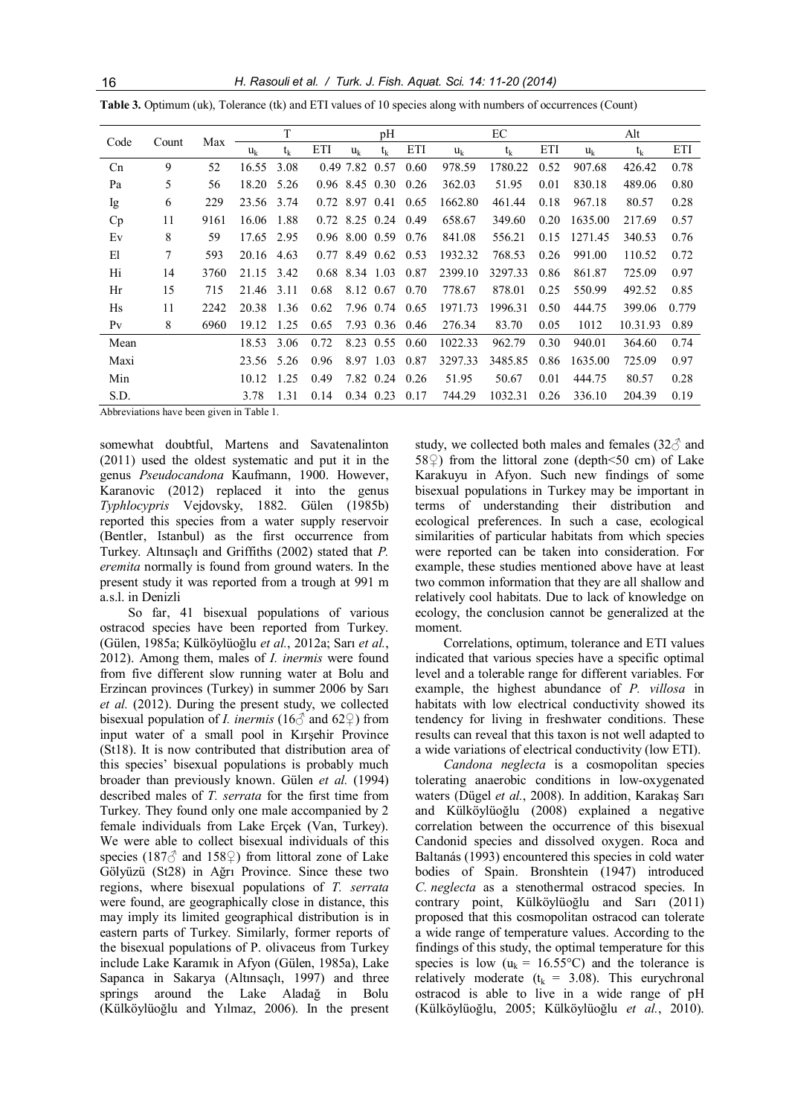16 H. Rasouli et al. / Turk. J. Fish. Aquat. Sci. 14: 11-20 (2014)

|         | Max<br>Code<br>Count |      |       | T       |      |           | pH                 |      |         | EC      |      | Alt     |          |       |  |
|---------|----------------------|------|-------|---------|------|-----------|--------------------|------|---------|---------|------|---------|----------|-------|--|
|         |                      |      | $u_k$ | $t_{k}$ | ETI  | $u_k$     | $t_k$              | ETI  | $u_k$   | $t_k$   | ETI  | $u_k$   | $t_{k}$  | ETI   |  |
| Cn      | 9                    | 52   | 16.55 | 3.08    |      | 0.49 7.82 | 0.57               | 0.60 | 978.59  | 1780.22 | 0.52 | 907.68  | 426.42   | 0.78  |  |
| Pa      | 5                    | 56   | 18.20 | 5.26    |      |           | $0.96$ 8.45 $0.30$ | 0.26 | 362.03  | 51.95   | 0.01 | 830.18  | 489.06   | 0.80  |  |
| Ig      | 6                    | 229  | 23.56 | 3.74    | 0.72 | 8.97 0.41 |                    | 0.65 | 1662.80 | 461.44  | 0.18 | 967.18  | 80.57    | 0.28  |  |
| Cp      | 11                   | 9161 | 16.06 | 1.88    |      |           | $0.72$ 8.25 0.24   | 0.49 | 658.67  | 349.60  | 0.20 | 1635.00 | 217.69   | 0.57  |  |
| Ev      | 8                    | 59   | 17.65 | 2.95    |      |           | $0.96$ 8.00 0.59   | 0.76 | 841.08  | 556.21  | 0.15 | 1271.45 | 340.53   | 0.76  |  |
| El      | $\overline{7}$       | 593  | 20.16 | 4.63    | 0.77 | 8.49      | 0.62               | 0.53 | 1932.32 | 768.53  | 0.26 | 991.00  | 110.52   | 0.72  |  |
| Hi      | 14                   | 3760 | 21.15 | 3.42    |      |           | $0.68$ 8.34 1.03   | 0.87 | 2399.10 | 3297.33 | 0.86 | 861.87  | 725.09   | 0.97  |  |
| Hr      | 15                   | 715  | 21.46 | 3.11    | 0.68 |           | 8.12 0.67          | 0.70 | 778.67  | 878.01  | 0.25 | 550.99  | 492.52   | 0.85  |  |
| Hs      | 11                   | 2242 | 20.38 | 1.36    | 0.62 |           | 7.96 0.74          | 0.65 | 1971.73 | 1996.31 | 0.50 | 444.75  | 399.06   | 0.779 |  |
| $P_{V}$ | 8                    | 6960 | 19.12 | 1.25    | 0.65 |           | 7.93 0.36 0.46     |      | 276.34  | 83.70   | 0.05 | 1012    | 10.31.93 | 0.89  |  |
| Mean    |                      |      | 18.53 | 3.06    | 0.72 |           | 8.23 0.55          | 0.60 | 1022.33 | 962.79  | 0.30 | 940.01  | 364.60   | 0.74  |  |
| Maxi    |                      |      | 23.56 | 5.26    | 0.96 |           | 8.97 1.03          | 0.87 | 3297.33 | 3485.85 | 0.86 | 1635.00 | 725.09   | 0.97  |  |
| Min     |                      |      | 10.12 | 1.25    | 0.49 |           | 7.82 0.24 0.26     |      | 51.95   | 50.67   | 0.01 | 444.75  | 80.57    | 0.28  |  |
| S.D.    |                      |      | 3.78  | 1.31    | 0.14 |           | 0.34 0.23          | 0.17 | 744.29  | 1032.31 | 0.26 | 336.10  | 204.39   | 0.19  |  |

Table 3. Optimum (uk), Tolerance (tk) and ETI values of 10 species along with numbers of occurrences (Count)

Abbreviations have been given in Table 1.

somewhat doubtful, Martens and Savatenalinton (2011) used the oldest systematic and put it in the genus Pseudocandona Kaufmann, 1900. However, Karanovic (2012) replaced it into the genus Typhlocypris Vejdovsky, 1882. Gülen (1985b) reported this species from a water supply reservoir (Bentler, Istanbul) as the first occurrence from Turkey. Altınsaçlı and Griffiths (2002) stated that P. eremita normally is found from ground waters. In the present study it was reported from a trough at 991 m a.s.l. in Denizli

So far, 41 bisexual populations of various ostracod species have been reported from Turkey. (Gülen, 1985a; Külköylüoğlu et al., 2012a; Sarı et al., 2012). Among them, males of I. inermis were found from five different slow running water at Bolu and Erzincan provinces (Turkey) in summer 2006 by Sarı et al. (2012). During the present study, we collected bisexual population of *I. inermis* (16 $\delta$  and 62 $\Omega$ ) from input water of a small pool in Kırşehir Province (St18). It is now contributed that distribution area of this species' bisexual populations is probably much broader than previously known. Gülen et al. (1994) described males of T. serrata for the first time from Turkey. They found only one male accompanied by 2 female individuals from Lake Erçek (Van, Turkey). We were able to collect bisexual individuals of this species (187 $\circ$  and 158 $\circ$ ) from littoral zone of Lake Gölyüzü (St28) in Ağrı Province. Since these two regions, where bisexual populations of T. serrata were found, are geographically close in distance, this may imply its limited geographical distribution is in eastern parts of Turkey. Similarly, former reports of the bisexual populations of P. olivaceus from Turkey include Lake Karamık in Afyon (Gülen, 1985a), Lake Sapanca in Sakarya (Altınsaçlı, 1997) and three springs around the Lake Aladağ in Bolu (Külköylüoğlu and Yılmaz, 2006). In the present study, we collected both males and females  $(32\sigma)$  and 58 $\circ$ ) from the littoral zone (depth <50 cm) of Lake Karakuyu in Afyon. Such new findings of some bisexual populations in Turkey may be important in terms of understanding their distribution and ecological preferences. In such a case, ecological similarities of particular habitats from which species were reported can be taken into consideration. For example, these studies mentioned above have at least two common information that they are all shallow and relatively cool habitats. Due to lack of knowledge on ecology, the conclusion cannot be generalized at the moment.

Correlations, optimum, tolerance and ETI values indicated that various species have a specific optimal level and a tolerable range for different variables. For example, the highest abundance of P. villosa in habitats with low electrical conductivity showed its tendency for living in freshwater conditions. These results can reveal that this taxon is not well adapted to a wide variations of electrical conductivity (low ETI).

Candona neglecta is a cosmopolitan species tolerating anaerobic conditions in low-oxygenated waters (Dügel et al., 2008). In addition, Karakaş Sarı and Külköylüoğlu (2008) explained a negative correlation between the occurrence of this bisexual Candonid species and dissolved oxygen. Roca and Baltanás (1993) encountered this species in cold water bodies of Spain. Bronshtein (1947) introduced C. neglecta as a stenothermal ostracod species. In contrary point, Külköylüoğlu and Sarı (2011) proposed that this cosmopolitan ostracod can tolerate a wide range of temperature values. According to the findings of this study, the optimal temperature for this species is low ( $u_k = 16.55$ °C) and the tolerance is relatively moderate ( $t_k$  = 3.08). This eurychronal ostracod is able to live in a wide range of pH (Külköylüoğlu, 2005; Külköylüoğlu et al., 2010).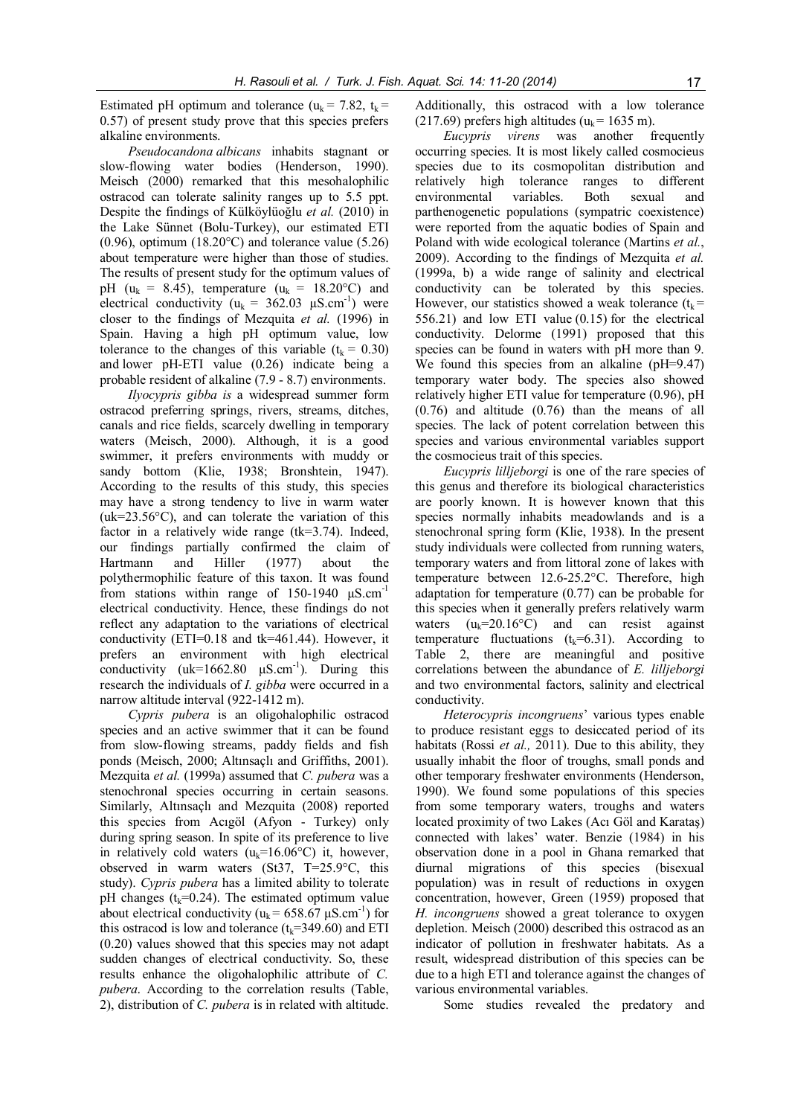Estimated pH optimum and tolerance ( $u_k = 7.82$ ,  $t_k =$ 0.57) of present study prove that this species prefers alkaline environments.

Pseudocandona albicans inhabits stagnant or slow-flowing water bodies (Henderson, 1990). Meisch (2000) remarked that this mesohalophilic ostracod can tolerate salinity ranges up to 5.5 ppt. Despite the findings of Külköylüoğlu et al. (2010) in the Lake Sünnet (Bolu-Turkey), our estimated ETI  $(0.96)$ , optimum  $(18.20^{\circ}$ C) and tolerance value  $(5.26)$ about temperature were higher than those of studies. The results of present study for the optimum values of pH ( $u_k = 8.45$ ), temperature ( $u_k = 18.20$ °C) and electrical conductivity ( $u_k = 362.03 \mu S.cm^{-1}$ ) were closer to the findings of Mezquita et al. (1996) in Spain. Having a high pH optimum value, low tolerance to the changes of this variable ( $t_k = 0.30$ ) and lower pH-ETI value (0.26) indicate being a probable resident of alkaline (7.9 - 8.7) environments.

Ilyocypris gibba is a widespread summer form ostracod preferring springs, rivers, streams, ditches, canals and rice fields, scarcely dwelling in temporary waters (Meisch, 2000). Although, it is a good swimmer, it prefers environments with muddy or sandy bottom (Klie, 1938; Bronshtein, 1947). According to the results of this study, this species may have a strong tendency to live in warm water  $(uk=23.56^{\circ}C)$ , and can tolerate the variation of this factor in a relatively wide range (tk=3.74). Indeed, our findings partially confirmed the claim of Hartmann and Hiller (1977) about the polythermophilic feature of this taxon. It was found from stations within range of 150-1940 μS.cm-1 electrical conductivity. Hence, these findings do not reflect any adaptation to the variations of electrical conductivity (ETI=0.18 and tk=461.44). However, it prefers an environment with high electrical conductivity  $(uk=1662.80 \mu S.cm^{-1})$ . During this research the individuals of *I. gibba* were occurred in a narrow altitude interval (922-1412 m).

Cypris pubera is an oligohalophilic ostracod species and an active swimmer that it can be found from slow-flowing streams, paddy fields and fish ponds (Meisch, 2000; Altınsaçlı and Griffiths, 2001). Mezquita et al. (1999a) assumed that C. pubera was a stenochronal species occurring in certain seasons. Similarly, Altınsaçlı and Mezquita (2008) reported this species from Acıgöl (Afyon - Turkey) only during spring season. In spite of its preference to live in relatively cold waters  $(u_k=16.06^{\circ}C)$  it, however, observed in warm waters (St37, T=25.9°C, this study). Cypris pubera has a limited ability to tolerate pH changes ( $t_k$ =0.24). The estimated optimum value about electrical conductivity ( $u_k = 658.67 \mu S.cm^{-1}$ ) for this ostracod is low and tolerance ( $t_k$ =349.60) and ETI (0.20) values showed that this species may not adapt sudden changes of electrical conductivity. So, these results enhance the oligohalophilic attribute of C. pubera. According to the correlation results (Table, 2), distribution of C. pubera is in related with altitude.

Additionally, this ostracod with a low tolerance (217.69) prefers high altitudes ( $u_k$  = 1635 m).

Eucypris virens was another frequently occurring species. It is most likely called cosmocieus species due to its cosmopolitan distribution and relatively high tolerance ranges to different environmental variables. Both sexual and parthenogenetic populations (sympatric coexistence) were reported from the aquatic bodies of Spain and Poland with wide ecological tolerance (Martins et al., 2009). According to the findings of Mezquita et al. (1999a, b) a wide range of salinity and electrical conductivity can be tolerated by this species. However, our statistics showed a weak tolerance  $(t_k =$ 556.21) and low ETI value (0.15) for the electrical conductivity. Delorme (1991) proposed that this species can be found in waters with pH more than 9. We found this species from an alkaline (pH=9.47) temporary water body. The species also showed relatively higher ETI value for temperature (0.96), pH (0.76) and altitude (0.76) than the means of all species. The lack of potent correlation between this species and various environmental variables support the cosmocieus trait of this species.

Eucypris lilljeborgi is one of the rare species of this genus and therefore its biological characteristics are poorly known. It is however known that this species normally inhabits meadowlands and is a stenochronal spring form (Klie, 1938). In the present study individuals were collected from running waters, temporary waters and from littoral zone of lakes with temperature between 12.6-25.2°C. Therefore, high adaptation for temperature (0.77) can be probable for this species when it generally prefers relatively warm waters  $(u_k=20.16^{\circ}\text{C})$  and can resist against temperature fluctuations ( $t_k=6.31$ ). According to Table 2, there are meaningful and positive correlations between the abundance of E. lilljeborgi and two environmental factors, salinity and electrical conductivity.

Heterocypris incongruens' various types enable to produce resistant eggs to desiccated period of its habitats (Rossi et al., 2011). Due to this ability, they usually inhabit the floor of troughs, small ponds and other temporary freshwater environments (Henderson, 1990). We found some populations of this species from some temporary waters, troughs and waters located proximity of two Lakes (Acı Göl and Karataş) connected with lakes' water. Benzie (1984) in his observation done in a pool in Ghana remarked that diurnal migrations of this species (bisexual population) was in result of reductions in oxygen concentration, however, Green (1959) proposed that H. incongruens showed a great tolerance to oxygen depletion. Meisch (2000) described this ostracod as an indicator of pollution in freshwater habitats. As a result, widespread distribution of this species can be due to a high ETI and tolerance against the changes of various environmental variables.

Some studies revealed the predatory and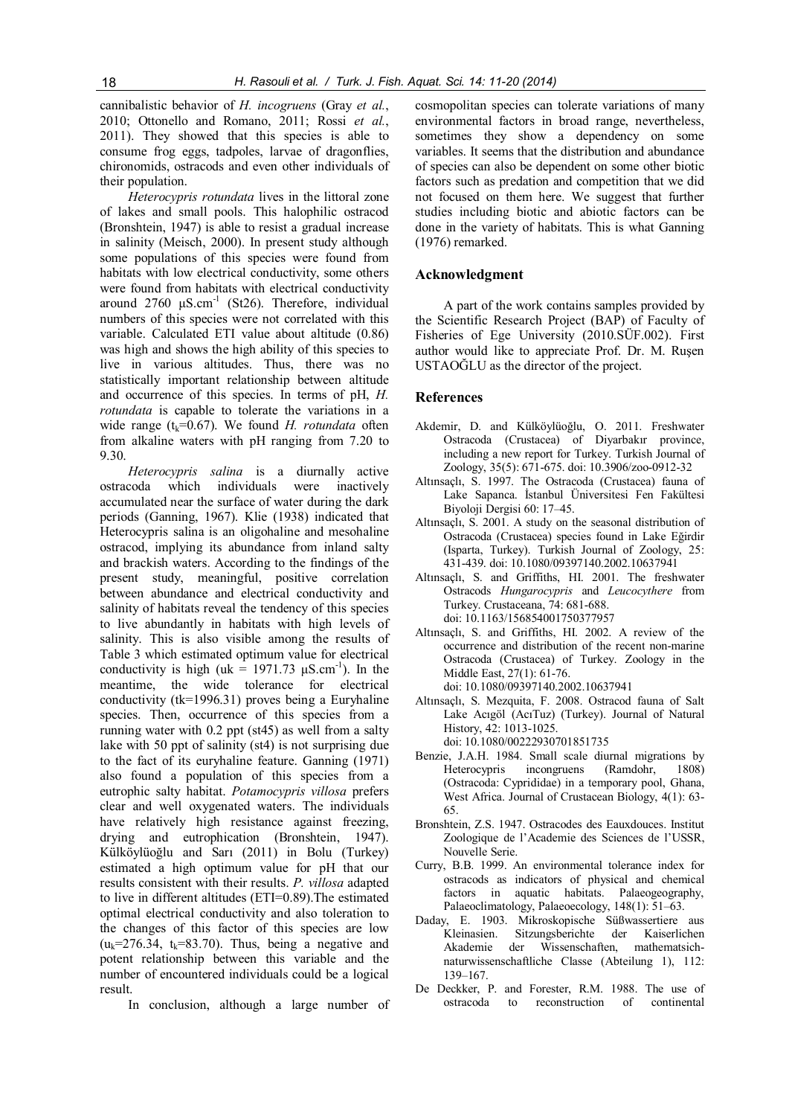cannibalistic behavior of H. incogruens (Gray et al., 2010; Ottonello and Romano, 2011; Rossi et al., 2011). They showed that this species is able to consume frog eggs, tadpoles, larvae of dragonflies, chironomids, ostracods and even other individuals of their population.

Heterocypris rotundata lives in the littoral zone of lakes and small pools. This halophilic ostracod (Bronshtein, 1947) is able to resist a gradual increase in salinity (Meisch, 2000). In present study although some populations of this species were found from habitats with low electrical conductivity, some others were found from habitats with electrical conductivity around  $2760$   $μ$ S.cm<sup>-1</sup> (St26). Therefore, individual numbers of this species were not correlated with this variable. Calculated ETI value about altitude (0.86) was high and shows the high ability of this species to live in various altitudes. Thus, there was no statistically important relationship between altitude and occurrence of this species. In terms of pH, H. rotundata is capable to tolerate the variations in a wide range ( $t_k$ =0.67). We found H. rotundata often from alkaline waters with pH ranging from 7.20 to 9.30.

Heterocypris salina is a diurnally active ostracoda which individuals were inactively accumulated near the surface of water during the dark periods (Ganning, 1967). Klie (1938) indicated that Heterocypris salina is an oligohaline and mesohaline ostracod, implying its abundance from inland salty and brackish waters. According to the findings of the present study, meaningful, positive correlation between abundance and electrical conductivity and salinity of habitats reveal the tendency of this species to live abundantly in habitats with high levels of salinity. This is also visible among the results of Table 3 which estimated optimum value for electrical conductivity is high (uk =  $1971.73 \mu$ S.cm<sup>-1</sup>). In the meantime, the wide tolerance for electrical conductivity (tk=1996.31) proves being a Euryhaline species. Then, occurrence of this species from a running water with 0.2 ppt (st45) as well from a salty lake with 50 ppt of salinity (st4) is not surprising due to the fact of its euryhaline feature. Ganning (1971) also found a population of this species from a eutrophic salty habitat. Potamocypris villosa prefers clear and well oxygenated waters. The individuals have relatively high resistance against freezing. drying and eutrophication (Bronshtein, 1947). Külköylüoğlu and Sarı (2011) in Bolu (Turkey) estimated a high optimum value for pH that our results consistent with their results. P. villosa adapted to live in different altitudes (ETI=0.89).The estimated optimal electrical conductivity and also toleration to the changes of this factor of this species are low  $(u_k=276.34, t_k=83.70)$ . Thus, being a negative and potent relationship between this variable and the number of encountered individuals could be a logical result.

In conclusion, although a large number of

cosmopolitan species can tolerate variations of many environmental factors in broad range, nevertheless, sometimes they show a dependency on some variables. It seems that the distribution and abundance of species can also be dependent on some other biotic factors such as predation and competition that we did not focused on them here. We suggest that further studies including biotic and abiotic factors can be done in the variety of habitats. This is what Ganning (1976) remarked.

### Acknowledgment

A part of the work contains samples provided by the Scientific Research Project (BAP) of Faculty of Fisheries of Ege University (2010.SÜF.002). First author would like to appreciate Prof. Dr. M. Ruşen USTAOĞLU as the director of the project.

## References

- Akdemir, D. and Külköylüoğlu, O. 2011. Freshwater Ostracoda (Crustacea) of Diyarbakır province, including a new report for Turkey. Turkish Journal of Zoology, 35(5): 671-675. doi: 10.3906/zoo-0912-32
- Altınsaçlı, S. 1997. The Ostracoda (Crustacea) fauna of Lake Sapanca. İstanbul Üniversitesi Fen Fakültesi Biyoloji Dergisi 60: 17–45.
- Altınsaçlı, S. 2001. A study on the seasonal distribution of Ostracoda (Crustacea) species found in Lake Eğirdir (Isparta, Turkey). Turkish Journal of Zoology, 25: 431-439. doi: 10.1080/09397140.2002.10637941
- Altınsaçlı, S. and Griffiths, HI. 2001. The freshwater Ostracods Hungarocypris and Leucocythere from Turkey. Crustaceana, 74: 681-688. doi: 10.1163/156854001750377957
- Altınsaçlı, S. and Griffiths, HI. 2002. A review of the occurrence and distribution of the recent non-marine Ostracoda (Crustacea) of Turkey. Zoology in the Middle East, 27(1): 61-76. doi: 10.1080/09397140.2002.10637941
- Altınsaçlı, S. Mezquita, F. 2008. Ostracod fauna of Salt Lake Acıgöl (AcıTuz) (Turkey). Journal of Natural History, 42: 1013-1025. doi: 10.1080/00222930701851735
- Benzie, J.A.H. 1984. Small scale diurnal migrations by Heterocypris incongruens (Ramdohr, 1808) (Ostracoda: Cyprididae) in a temporary pool, Ghana, West Africa. Journal of Crustacean Biology, 4(1): 63- 65.
- Bronshtein, Z.S. 1947. Ostracodes des Eauxdouces. Institut Zoologique de l'Academie des Sciences de l'USSR, Nouvelle Serie.
- Curry, B.B. 1999. An environmental tolerance index for ostracods as indicators of physical and chemical factors in aquatic habitats. Palaeogeography, Palaeoclimatology, Palaeoecology, 148(1): 51–63.
- Daday, E. 1903. Mikroskopische Süßwassertiere aus Kleinasien. Sitzungsberichte der Kaiserlichen Akademie der Wissenschaften, mathematsichnaturwissenschaftliche Classe (Abteilung 1), 112: 139–167.
- De Deckker, P. and Forester, R.M. 1988. The use of ostracoda to reconstruction of continental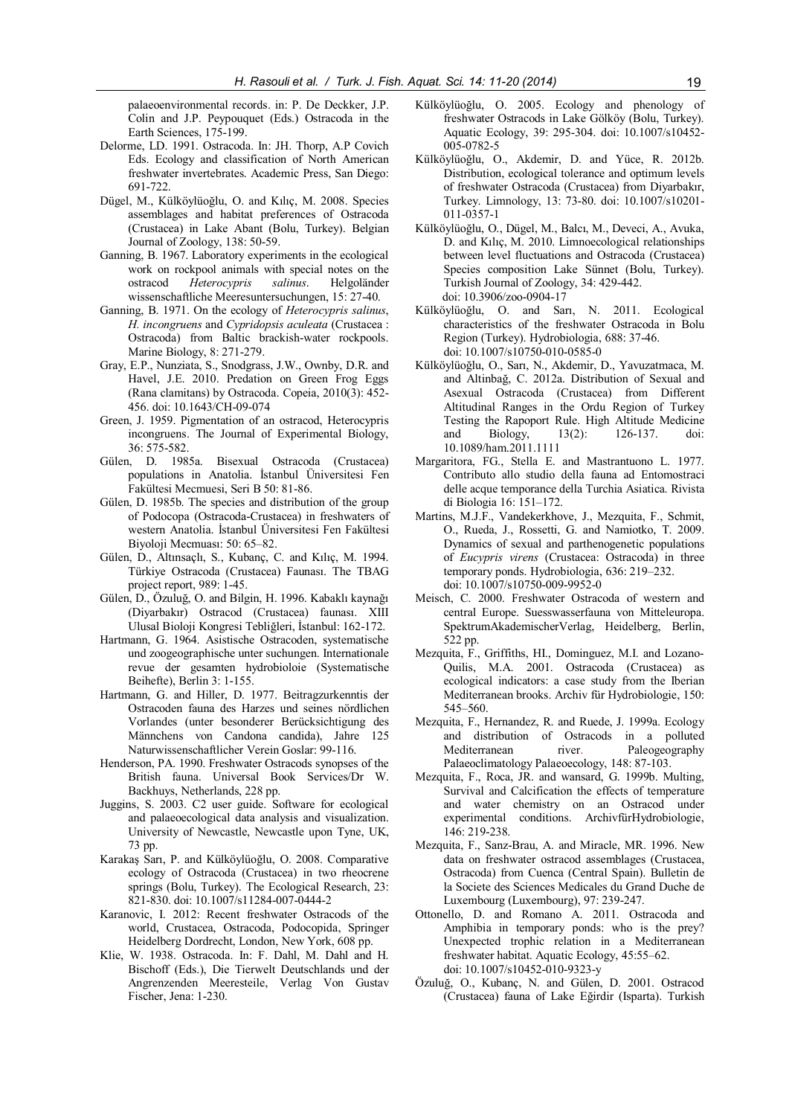palaeoenvironmental records. in: P. De Deckker, J.P. Colin and J.P. Peypouquet (Eds.) Ostracoda in the Earth Sciences, 175-199.

- Delorme, LD. 1991. Ostracoda. In: JH. Thorp, A.P Covich Eds. Ecology and classification of North American freshwater invertebrates. Academic Press, San Diego: 691-722.
- Dügel, M., Külköylüoğlu, O. and Kılıç, M. 2008. Species assemblages and habitat preferences of Ostracoda (Crustacea) in Lake Abant (Bolu, Turkey). Belgian Journal of Zoology, 138: 50-59.
- Ganning, B. 1967. Laboratory experiments in the ecological work on rockpool animals with special notes on the ostracod Heterocypris salinus. Helgoländer wissenschaftliche Meeresuntersuchungen, 15: 27-40.
- Ganning, B. 1971. On the ecology of Heterocypris salinus, H. incongruens and Cypridopsis aculeata (Crustacea : Ostracoda) from Baltic brackish-water rockpools. Marine Biology, 8: 271-279.
- Gray, E.P., Nunziata, S., Snodgrass, J.W., Ownby, D.R. and Havel, J.E. 2010. Predation on Green Frog Eggs (Rana clamitans) by Ostracoda. Copeia, 2010(3): 452- 456. doi: 10.1643/CH-09-074
- Green, J. 1959. Pigmentation of an ostracod, Heterocypris incongruens. The Journal of Experimental Biology, 36: 575-582.
- Gülen, D. 1985a. Bisexual Ostracoda (Crustacea) populations in Anatolia. İstanbul Üniversitesi Fen Fakültesi Mecmuesi, Seri B 50: 81-86.
- Gülen, D. 1985b. The species and distribution of the group of Podocopa (Ostracoda-Crustacea) in freshwaters of western Anatolia. İstanbul Üniversitesi Fen Fakültesi Biyoloji Mecmuası: 50: 65–82.
- Gülen, D., Altınsaçlı, S., Kubanç, C. and Kılıç, M. 1994. Türkiye Ostracoda (Crustacea) Faunası. The TBAG project report, 989: 1-45.
- Gülen, D., Özuluğ, O. and Bilgin, H. 1996. Kabaklı kaynağı (Diyarbakır) Ostracod (Crustacea) faunası. XIII Ulusal Bioloji Kongresi Tebliğleri, İstanbul: 162-172.
- Hartmann, G. 1964. Asistische Ostracoden, systematische und zoogeographische unter suchungen. Internationale revue der gesamten hydrobioloie (Systematische Beihefte), Berlin 3: 1-155.
- Hartmann, G. and Hiller, D. 1977. Beitragzurkenntis der Ostracoden fauna des Harzes und seines nördlichen Vorlandes (unter besonderer Berücksichtigung des Männchens von Candona candida), Jahre 125 Naturwissenschaftlicher Verein Goslar: 99-116.
- Henderson, PA. 1990. Freshwater Ostracods synopses of the British fauna. Universal Book Services/Dr W. Backhuys, Netherlands, 228 pp.
- Juggins, S. 2003. C2 user guide. Software for ecological and palaeoecological data analysis and visualization. University of Newcastle, Newcastle upon Tyne, UK, 73 pp.
- Karakaş Sarı, P. and Külköylüoğlu, O. 2008. Comparative ecology of Ostracoda (Crustacea) in two rheocrene springs (Bolu, Turkey). The Ecological Research, 23: 821-830. doi: 10.1007/s11284-007-0444-2
- Karanovic, I. 2012: Recent freshwater Ostracods of the world, Crustacea, Ostracoda, Podocopida, Springer Heidelberg Dordrecht, London, New York, 608 pp.
- Klie, W. 1938. Ostracoda. In: F. Dahl, M. Dahl and H. Bischoff (Eds.), Die Tierwelt Deutschlands und der Angrenzenden Meeresteile, Verlag Von Gustav Fischer, Jena: 1-230.
- Külköylüoğlu, O. 2005. Ecology and phenology of freshwater Ostracods in Lake Gölköy (Bolu, Turkey). Aquatic Ecology, 39: 295-304. doi: 10.1007/s10452- 005-0782-5
- Külköylüoğlu, O., Akdemir, D. and Yüce, R. 2012b. Distribution, ecological tolerance and optimum levels of freshwater Ostracoda (Crustacea) from Diyarbakır, Turkey. Limnology, 13: 73-80. doi: 10.1007/s10201- 011-0357-1
- Külköylüoğlu, O., Dügel, M., Balcı, M., Deveci, A., Avuka, D. and Kılıç, M. 2010. Limnoecological relationships between level fluctuations and Ostracoda (Crustacea) Species composition Lake Sünnet (Bolu, Turkey). Turkish Journal of Zoology, 34: 429-442. doi: 10.3906/zoo-0904-17
- Külköylüoğlu, O. and Sarı, N. 2011. Ecological characteristics of the freshwater Ostracoda in Bolu Region (Turkey). Hydrobiologia, 688: 37-46. doi: 10.1007/s10750-010-0585-0
- Külköylüoğlu, O., Sarı, N., Akdemir, D., Yavuzatmaca, M. and Altinbağ, C. 2012a. Distribution of Sexual and Asexual Ostracoda (Crustacea) from Different Altitudinal Ranges in the Ordu Region of Turkey Testing the Rapoport Rule. High Altitude Medicine and Biology, 13(2): 126-137. doi: 10.1089/ham.2011.1111
- Margaritora, FG., Stella E. and Mastrantuono L. 1977. Contributo allo studio della fauna ad Entomostraci delle acque temporance della Turchia Asiatica. Rivista di Biologia 16: 151–172.
- Martins, M.J.F., Vandekerkhove, J., Mezquita, F., Schmit, O., Rueda, J., Rossetti, G. and Namiotko, T. 2009. Dynamics of sexual and parthenogenetic populations of Eucypris virens (Crustacea: Ostracoda) in three temporary ponds. Hydrobiologia, 636: 219–232. doi: 10.1007/s10750-009-9952-0
- Meisch, C. 2000. Freshwater Ostracoda of western and central Europe. Suesswasserfauna von Mitteleuropa. SpektrumAkademischerVerlag, Heidelberg, Berlin, 522 pp.
- Mezquita, F., Griffiths, HI., Dominguez, M.I. and Lozano-Quilis, M.A. 2001. Ostracoda (Crustacea) as ecological indicators: a case study from the Iberian Mediterranean brooks. Archiv für Hydrobiologie, 150: 545–560.
- Mezquita, F., Hernandez, R. and Ruede, J. 1999a. Ecology and distribution of Ostracods in a polluted Mediterranean river. Paleogeography Palaeoclimatology Palaeoecology, 148: 87-103.
- Mezquita, F., Roca, JR. and wansard, G. 1999b. Multing, Survival and Calcification the effects of temperature and water chemistry on an Ostracod under experimental conditions. ArchivfürHydrobiologie, 146: 219-238.
- Mezquita, F., Sanz-Brau, A. and Miracle, MR. 1996. New data on freshwater ostracod assemblages (Crustacea, Ostracoda) from Cuenca (Central Spain). Bulletin de la Societe des Sciences Medicales du Grand Duche de Luxembourg (Luxembourg), 97: 239-247.
- Ottonello, D. and Romano A. 2011. Ostracoda and Amphibia in temporary ponds: who is the prey? Unexpected trophic relation in a Mediterranean freshwater habitat. Aquatic Ecology, 45:55–62. doi: 10.1007/s10452-010-9323-y
- Özuluğ, O., Kubanç, N. and Gülen, D. 2001. Ostracod (Crustacea) fauna of Lake Eğirdir (Isparta). Turkish